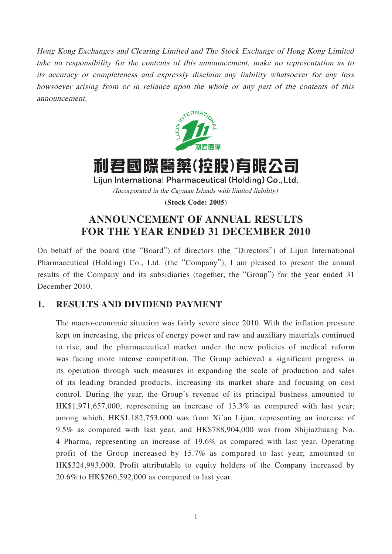Hong Kong Exchanges and Clearing Limited and The Stock Exchange of Hong Kong Limited take no responsibility for the contents of this announcement, make no representation as to its accuracy or completeness and expressly disclaim any liability whatsoever for any loss howsoever arising from or in reliance upon the whole or any part of the contents of this announcement.



# 利君國際醫藥(控股)有限公司

Lijun International Pharmaceutical (Holding) Co., Ltd. (Incorporated in the Cayman Islands with limited liability)

**(Stock Code: 2005)**

# **ANNOUNCEMENT OF ANNUAL RESULTS FOR THE YEAR ENDED 31 DECEMBER 2010**

On behalf of the board (the "Board") of directors (the "Directors") of Lijun International Pharmaceutical (Holding) Co., Ltd. (the "Company"), I am pleased to present the annual results of the Company and its subsidiaries (together, the "Group") for the year ended 31 December 2010.

# **1. RESULTS AND DIVIDEND PAYMENT**

The macro-economic situation was fairly severe since 2010. With the inflation pressure kept on increasing, the prices of energy power and raw and auxiliary materials continued to rise, and the pharmaceutical market under the new policies of medical reform was facing more intense competition. The Group achieved a significant progress in its operation through such measures in expanding the scale of production and sales of its leading branded products, increasing its market share and focusing on cost control. During the year, the Group's revenue of its principal business amounted to HK\$1,971,657,000, representing an increase of 13.3% as compared with last year; among which, HK\$1,182,753,000 was from Xi'an Lijun, representing an increase of 9.5% as compared with last year, and HK\$788,904,000 was from Shijiazhuang No. 4 Pharma, representing an increase of 19.6% as compared with last year. Operating profit of the Group increased by 15.7% as compared to last year, amounted to HK\$324,993,000. Profit attributable to equity holders of the Company increased by 20.6% to HK\$260,592,000 as compared to last year.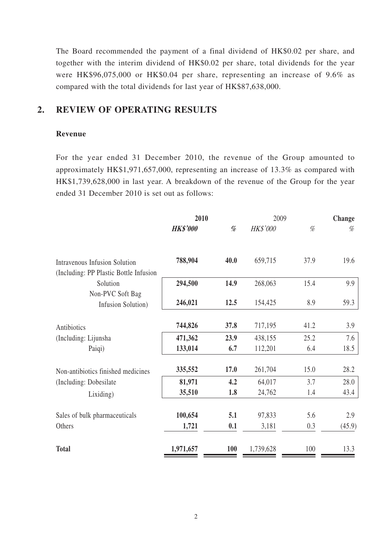The Board recommended the payment of a final dividend of HK\$0.02 per share, and together with the interim dividend of HK\$0.02 per share, total dividends for the year were HK\$96,075,000 or HK\$0.04 per share, representing an increase of 9.6% as compared with the total dividends for last year of HK\$87,638,000.

### **2. REVIEW OF OPERATING RESULTS**

### **Revenue**

For the year ended 31 December 2010, the revenue of the Group amounted to approximately HK\$1,971,657,000, representing an increase of 13.3% as compared with HK\$1,739,628,000 in last year. A breakdown of the revenue of the Group for the year ended 31 December 2010 is set out as follows:

|                                                                                | 2010            |                                                                                                        | 2009      |      | Change |
|--------------------------------------------------------------------------------|-----------------|--------------------------------------------------------------------------------------------------------|-----------|------|--------|
|                                                                                | <b>HK\$'000</b> | $% \mathcal{P}_{\mathcal{A}}^{\mathcal{A}}\left( \mathcal{A} \right) \equiv \mathcal{A}^{\mathcal{A}}$ | HK\$'000  | $\%$ | %      |
| <b>Intravenous Infusion Solution</b><br>(Including: PP Plastic Bottle Infusion | 788,904         | 40.0                                                                                                   | 659,715   | 37.9 | 19.6   |
| Solution                                                                       | 294,500         | 14.9                                                                                                   | 268,063   | 15.4 | 9.9    |
| Non-PVC Soft Bag<br>Infusion Solution)                                         | 246,021         | 12.5                                                                                                   | 154,425   | 8.9  | 59.3   |
| Antibiotics                                                                    | 744,826         | 37.8                                                                                                   | 717,195   | 41.2 | 3.9    |
| (Including: Lijunsha                                                           | 471,362         | 23.9                                                                                                   | 438,155   | 25.2 | 7.6    |
| Paiqi)                                                                         | 133,014         | 6.7                                                                                                    | 112,201   | 6.4  | 18.5   |
| Non-antibiotics finished medicines                                             | 335,552         | 17.0                                                                                                   | 261,704   | 15.0 | 28.2   |
| (Including: Dobesilate)                                                        | 81,971          | 4.2                                                                                                    | 64,017    | 3.7  | 28.0   |
| Lixiding)                                                                      | 35,510          | 1.8                                                                                                    | 24,762    | 1.4  | 43.4   |
| Sales of bulk pharmaceuticals                                                  | 100,654         | 5.1                                                                                                    | 97,833    | 5.6  | 2.9    |
| Others                                                                         | 1,721           | 0.1                                                                                                    | 3,181     | 0.3  | (45.9) |
| <b>Total</b>                                                                   | 1,971,657       | 100                                                                                                    | 1,739,628 | 100  | 13.3   |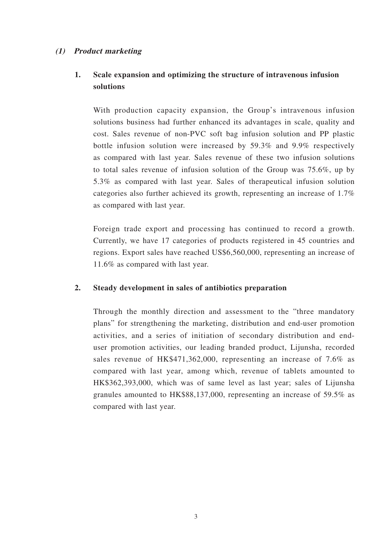### **(1) Product marketing**

# **1. Scale expansion and optimizing the structure of intravenous infusion solutions**

With production capacity expansion, the Group's intravenous infusion solutions business had further enhanced its advantages in scale, quality and cost. Sales revenue of non-PVC soft bag infusion solution and PP plastic bottle infusion solution were increased by 59.3% and 9.9% respectively as compared with last year. Sales revenue of these two infusion solutions to total sales revenue of infusion solution of the Group was 75.6%, up by 5.3% as compared with last year. Sales of therapeutical infusion solution categories also further achieved its growth, representing an increase of 1.7% as compared with last year.

Foreign trade export and processing has continued to record a growth. Currently, we have 17 categories of products registered in 45 countries and regions. Export sales have reached US\$6,560,000, representing an increase of 11.6% as compared with last year.

### **2. Steady development in sales of antibiotics preparation**

Through the monthly direction and assessment to the "three mandatory plans" for strengthening the marketing, distribution and end-user promotion activities, and a series of initiation of secondary distribution and enduser promotion activities, our leading branded product, Lijunsha, recorded sales revenue of HK\$471,362,000, representing an increase of 7.6% as compared with last year, among which, revenue of tablets amounted to HK\$362,393,000, which was of same level as last year; sales of Lijunsha granules amounted to HK\$88,137,000, representing an increase of 59.5% as compared with last year.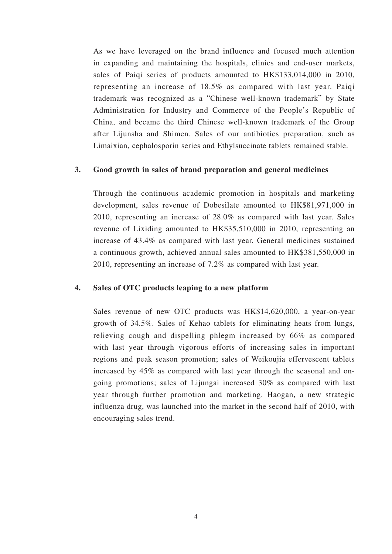As we have leveraged on the brand influence and focused much attention in expanding and maintaining the hospitals, clinics and end-user markets, sales of Paiqi series of products amounted to HK\$133,014,000 in 2010, representing an increase of 18.5% as compared with last year. Paiqi trademark was recognized as a "Chinese well-known trademark" by State Administration for Industry and Commerce of the People's Republic of China, and became the third Chinese well-known trademark of the Group after Lijunsha and Shimen. Sales of our antibiotics preparation, such as Limaixian, cephalosporin series and Ethylsuccinate tablets remained stable.

### **3. Good growth in sales of brand preparation and general medicines**

Through the continuous academic promotion in hospitals and marketing development, sales revenue of Dobesilate amounted to HK\$81,971,000 in 2010, representing an increase of 28.0% as compared with last year. Sales revenue of Lixiding amounted to HK\$35,510,000 in 2010, representing an increase of 43.4% as compared with last year. General medicines sustained a continuous growth, achieved annual sales amounted to HK\$381,550,000 in 2010, representing an increase of 7.2% as compared with last year.

### **4. Sales of OTC products leaping to a new platform**

Sales revenue of new OTC products was HK\$14,620,000, a year-on-year growth of 34.5%. Sales of Kehao tablets for eliminating heats from lungs, relieving cough and dispelling phlegm increased by 66% as compared with last year through vigorous efforts of increasing sales in important regions and peak season promotion; sales of Weikoujia effervescent tablets increased by 45% as compared with last year through the seasonal and ongoing promotions; sales of Lijungai increased 30% as compared with last year through further promotion and marketing. Haogan, a new strategic influenza drug, was launched into the market in the second half of 2010, with encouraging sales trend.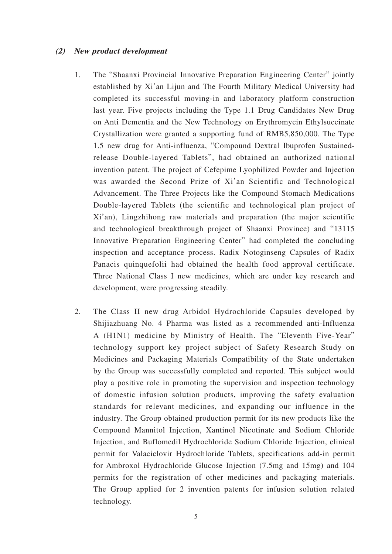### **(2) New product development**

- 1. The "Shaanxi Provincial Innovative Preparation Engineering Center" jointly established by Xi'an Lijun and The Fourth Military Medical University had completed its successful moving-in and laboratory platform construction last year. Five projects including the Type 1.1 Drug Candidates New Drug on Anti Dementia and the New Technology on Erythromycin Ethylsuccinate Crystallization were granted a supporting fund of RMB5,850,000. The Type 1.5 new drug for Anti-influenza, "Compound Dextral Ibuprofen Sustainedrelease Double-layered Tablets", had obtained an authorized national invention patent. The project of Cefepime Lyophilized Powder and Injection was awarded the Second Prize of Xi'an Scientific and Technological Advancement. The Three Projects like the Compound Stomach Medications Double-layered Tablets (the scientific and technological plan project of Xi'an), Lingzhihong raw materials and preparation (the major scientific and technological breakthrough project of Shaanxi Province) and "13115 Innovative Preparation Engineering Center" had completed the concluding inspection and acceptance process. Radix Notoginseng Capsules of Radix Panacis quinquefolii had obtained the health food approval certificate. Three National Class I new medicines, which are under key research and development, were progressing steadily.
- 2. The Class II new drug Arbidol Hydrochloride Capsules developed by Shijiazhuang No. 4 Pharma was listed as a recommended anti-Influenza A (H1N1) medicine by Ministry of Health. The "Eleventh Five-Year" technology support key project subject of Safety Research Study on Medicines and Packaging Materials Compatibility of the State undertaken by the Group was successfully completed and reported. This subject would play a positive role in promoting the supervision and inspection technology of domestic infusion solution products, improving the safety evaluation standards for relevant medicines, and expanding our influence in the industry. The Group obtained production permit for its new products like the Compound Mannitol Injection, Xantinol Nicotinate and Sodium Chloride Injection, and Buflomedil Hydrochloride Sodium Chloride Injection, clinical permit for Valaciclovir Hydrochloride Tablets, specifications add-in permit for Ambroxol Hydrochloride Glucose Injection (7.5mg and 15mg) and 104 permits for the registration of other medicines and packaging materials. The Group applied for 2 invention patents for infusion solution related technology.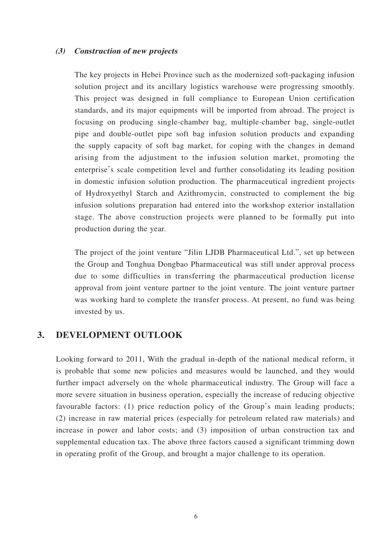#### **(3) Construction of new projects**

The key projects in Hebei Province such as the modernized soft-packaging infusion solution project and its ancillary logistics warehouse were progressing smoothly. This project was designed in full compliance to European Union certification standards, and its major equipments will be imported from abroad. The project is focusing on producing single-chamber bag, multiple-chamber bag, single-outlet pipe and double-outlet pipe soft bag infusion solution products and expanding the supply capacity of soft bag market, for coping with the changes in demand arising from the adjustment to the infusion solution market, promoting the enterprise's scale competition level and further consolidating its leading position in domestic infusion solution production. The pharmaceutical ingredient projects of Hydroxyethyl Starch and Azithromycin, constructed to complement the big infusion solutions preparation had entered into the workshop exterior installation stage. The above construction projects were planned to be formally put into production during the year.

The project of the joint venture "Jilin LJDB Pharmaceutical Ltd.", set up between the Group and Tonghua Dongbao Pharmaceutical was still under approval process due to some difficulties in transferring the pharmaceutical production license approval from joint venture partner to the joint venture. The joint venture partner was working hard to complete the transfer process. At present, no fund was being invested by us.

### **3. DEVELOPMENT OUTLOOK**

Looking forward to 2011, With the gradual in-depth of the national medical reform, it is probable that some new policies and measures would be launched, and they would further impact adversely on the whole pharmaceutical industry. The Group will face a more severe situation in business operation, especially the increase of reducing objective favourable factors: (1) price reduction policy of the Group's main leading products; (2) increase in raw material prices (especially for petroleum related raw materials) and increase in power and labor costs; and (3) imposition of urban construction tax and supplemental education tax. The above three factors caused a significant trimming down in operating profit of the Group, and brought a major challenge to its operation.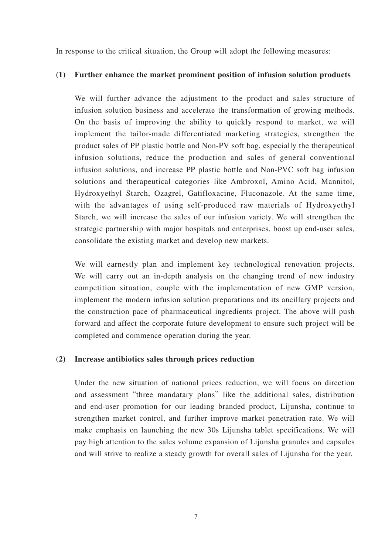In response to the critical situation, the Group will adopt the following measures:

### **(1) Further enhance the market prominent position of infusion solution products**

We will further advance the adjustment to the product and sales structure of infusion solution business and accelerate the transformation of growing methods. On the basis of improving the ability to quickly respond to market, we will implement the tailor-made differentiated marketing strategies, strengthen the product sales of PP plastic bottle and Non-PV soft bag, especially the therapeutical infusion solutions, reduce the production and sales of general conventional infusion solutions, and increase PP plastic bottle and Non-PVC soft bag infusion solutions and therapeutical categories like Ambroxol, Amino Acid, Mannitol, Hydroxyethyl Starch, Ozagrel, Gatifloxacine, Fluconazole. At the same time, with the advantages of using self-produced raw materials of Hydroxyethyl Starch, we will increase the sales of our infusion variety. We will strengthen the strategic partnership with major hospitals and enterprises, boost up end-user sales, consolidate the existing market and develop new markets.

We will earnestly plan and implement key technological renovation projects. We will carry out an in-depth analysis on the changing trend of new industry competition situation, couple with the implementation of new GMP version, implement the modern infusion solution preparations and its ancillary projects and the construction pace of pharmaceutical ingredients project. The above will push forward and affect the corporate future development to ensure such project will be completed and commence operation during the year.

### **(2) Increase antibiotics sales through prices reduction**

Under the new situation of national prices reduction, we will focus on direction and assessment "three mandatary plans" like the additional sales, distribution and end-user promotion for our leading branded product, Lijunsha, continue to strengthen market control, and further improve market penetration rate. We will make emphasis on launching the new 30s Lijunsha tablet specifications. We will pay high attention to the sales volume expansion of Lijunsha granules and capsules and will strive to realize a steady growth for overall sales of Lijunsha for the year.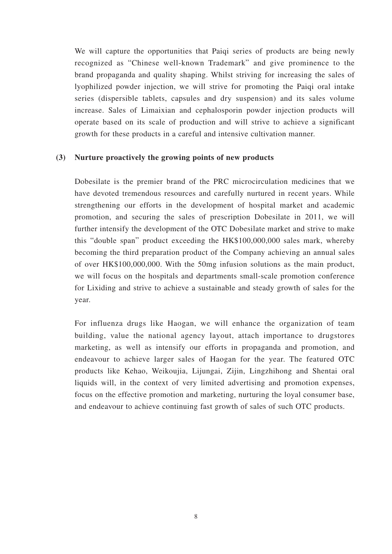We will capture the opportunities that Paiqi series of products are being newly recognized as "Chinese well-known Trademark" and give prominence to the brand propaganda and quality shaping. Whilst striving for increasing the sales of lyophilized powder injection, we will strive for promoting the Paiqi oral intake series (dispersible tablets, capsules and dry suspension) and its sales volume increase. Sales of Limaixian and cephalosporin powder injection products will operate based on its scale of production and will strive to achieve a significant growth for these products in a careful and intensive cultivation manner.

### **(3) Nurture proactively the growing points of new products**

Dobesilate is the premier brand of the PRC microcirculation medicines that we have devoted tremendous resources and carefully nurtured in recent years. While strengthening our efforts in the development of hospital market and academic promotion, and securing the sales of prescription Dobesilate in 2011, we will further intensify the development of the OTC Dobesilate market and strive to make this "double span" product exceeding the HK\$100,000,000 sales mark, whereby becoming the third preparation product of the Company achieving an annual sales of over HK\$100,000,000. With the 50mg infusion solutions as the main product, we will focus on the hospitals and departments small-scale promotion conference for Lixiding and strive to achieve a sustainable and steady growth of sales for the year.

For influenza drugs like Haogan, we will enhance the organization of team building, value the national agency layout, attach importance to drugstores marketing, as well as intensify our efforts in propaganda and promotion, and endeavour to achieve larger sales of Haogan for the year. The featured OTC products like Kehao, Weikoujia, Lijungai, Zijin, Lingzhihong and Shentai oral liquids will, in the context of very limited advertising and promotion expenses, focus on the effective promotion and marketing, nurturing the loyal consumer base, and endeavour to achieve continuing fast growth of sales of such OTC products.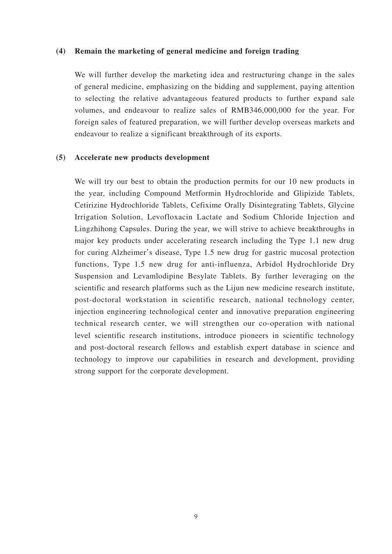#### **(4) Remain the marketing of general medicine and foreign trading**

We will further develop the marketing idea and restructuring change in the sales of general medicine, emphasizing on the bidding and supplement, paying attention to selecting the relative advantageous featured products to further expand sale volumes, and endeavour to realize sales of RMB346,000,000 for the year. For foreign sales of featured preparation, we will further develop overseas markets and endeavour to realize a significant breakthrough of its exports.

### **(5) Accelerate new products development**

We will try our best to obtain the production permits for our 10 new products in the year, including Compound Metformin Hydrochloride and Glipizide Tablets, Cetirizine Hydrochloride Tablets, Cefixime Orally Disintegrating Tablets, Glycine Irrigation Solution, Levofloxacin Lactate and Sodium Chloride Injection and Lingzhihong Capsules. During the year, we will strive to achieve breakthroughs in major key products under accelerating research including the Type 1.1 new drug for curing Alzheimer's disease, Type 1.5 new drug for gastric mucosal protection functions, Type 1.5 new drug for anti-influenza, Arbidol Hydrochloride Dry Suspension and Levamlodipine Besylate Tablets. By further leveraging on the scientific and research platforms such as the Lijun new medicine research institute, post-doctoral workstation in scientific research, national technology center, injection engineering technological center and innovative preparation engineering technical research center, we will strengthen our co-operation with national level scientific research institutions, introduce pioneers in scientific technology and post-doctoral research fellows and establish expert database in science and technology to improve our capabilities in research and development, providing strong support for the corporate development.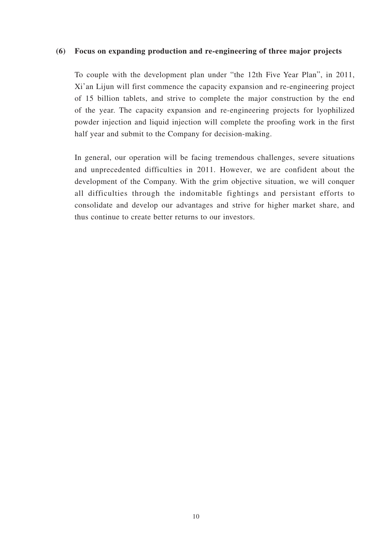### **(6) Focus on expanding production and re-engineering of three major projects**

To couple with the development plan under "the 12th Five Year Plan", in 2011, Xi'an Lijun will first commence the capacity expansion and re-engineering project of 15 billion tablets, and strive to complete the major construction by the end of the year. The capacity expansion and re-engineering projects for lyophilized powder injection and liquid injection will complete the proofing work in the first half year and submit to the Company for decision-making.

In general, our operation will be facing tremendous challenges, severe situations and unprecedented difficulties in 2011. However, we are confident about the development of the Company. With the grim objective situation, we will conquer all difficulties through the indomitable fightings and persistant efforts to consolidate and develop our advantages and strive for higher market share, and thus continue to create better returns to our investors.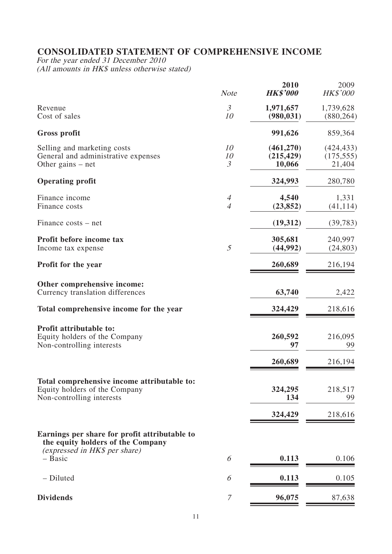# **CONSOLIDATED STATEMENT OF COMPREHENSIVE INCOME**

For the year ended 31 December 2010 (All amounts in HK\$ unless otherwise stated)

|                                                                                                                     | <b>Note</b>                      | 2010<br><b>HK\$'000</b>           | 2009<br>HK\$'000                   |
|---------------------------------------------------------------------------------------------------------------------|----------------------------------|-----------------------------------|------------------------------------|
| Revenue<br>Cost of sales                                                                                            | $\mathfrak{Z}$<br>10             | 1,971,657<br>(980, 031)           | 1,739,628<br>(880, 264)            |
| Gross profit                                                                                                        |                                  | 991,626                           | 859,364                            |
| Selling and marketing costs<br>General and administrative expenses<br>Other gains – net                             | 10<br>10<br>$\mathfrak{Z}$       | (461,270)<br>(215, 429)<br>10,066 | (424, 433)<br>(175, 555)<br>21,404 |
| <b>Operating profit</b>                                                                                             |                                  | 324,993                           | 280,780                            |
| Finance income<br>Finance costs                                                                                     | $\overline{A}$<br>$\overline{4}$ | 4,540<br>(23, 852)                | 1,331<br>(41, 114)                 |
| Finance costs – net                                                                                                 |                                  | (19,312)                          | (39, 783)                          |
| Profit before income tax<br>Income tax expense                                                                      | 5                                | 305,681<br>(44,992)               | 240,997<br>(24, 803)               |
| Profit for the year                                                                                                 |                                  | 260,689                           | 216,194                            |
| Other comprehensive income:                                                                                         |                                  |                                   |                                    |
| Currency translation differences                                                                                    |                                  | 63,740                            | 2,422                              |
| Total comprehensive income for the year                                                                             |                                  | 324,429                           | 218,616                            |
| Profit attributable to:<br>Equity holders of the Company<br>Non-controlling interests                               |                                  | 260,592<br>97                     | 216,095<br>99                      |
|                                                                                                                     |                                  | 260,689                           | 216,194                            |
| Total comprehensive income attributable to:                                                                         |                                  |                                   |                                    |
| Equity holders of the Company<br>Non-controlling interests                                                          |                                  | 324,295<br>134                    | 218,517<br>99                      |
|                                                                                                                     |                                  | 324,429                           | 218,616                            |
| Earnings per share for profit attributable to<br>the equity holders of the Company<br>(expressed in HK\$ per share) |                                  |                                   |                                    |
| - Basic                                                                                                             | 6                                | 0.113                             | 0.106                              |
| - Diluted                                                                                                           | 6                                | 0.113                             | 0.105                              |
| <b>Dividends</b>                                                                                                    | 7                                | 96,075                            | 87,638                             |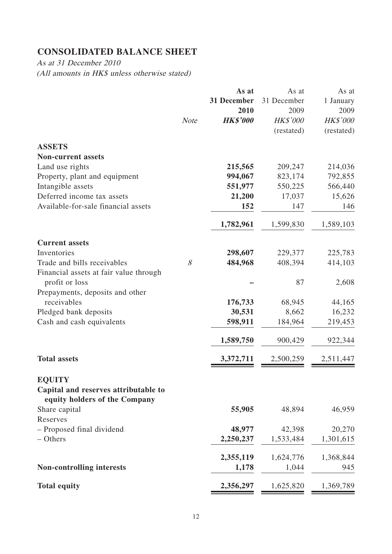# **CONSOLIDATED BALANCE SHEET**

As at 31 December 2010 (All amounts in HK\$ unless otherwise stated)

|                                                                       |             | As at           | As at           | As at           |
|-----------------------------------------------------------------------|-------------|-----------------|-----------------|-----------------|
|                                                                       |             | 31 December     | 31 December     | 1 January       |
|                                                                       |             | 2010            | 2009            | 2009            |
|                                                                       | <b>Note</b> | <b>HK\$'000</b> | <b>HK\$'000</b> | <b>HK\$'000</b> |
|                                                                       |             |                 | (restated)      | (restated)      |
| <b>ASSETS</b>                                                         |             |                 |                 |                 |
| <b>Non-current assets</b>                                             |             |                 |                 |                 |
| Land use rights                                                       |             | 215,565         | 209,247         | 214,036         |
| Property, plant and equipment                                         |             | 994,067         | 823,174         | 792,855         |
| Intangible assets                                                     |             | 551,977         | 550,225         | 566,440         |
| Deferred income tax assets                                            |             | 21,200          | 17,037          | 15,626          |
| Available-for-sale financial assets                                   |             | 152             | 147             | 146             |
|                                                                       |             | 1,782,961       | 1,599,830       | 1,589,103       |
| <b>Current assets</b>                                                 |             |                 |                 |                 |
| Inventories                                                           |             | 298,607         | 229,377         | 225,783         |
| Trade and bills receivables                                           | 8           | 484,968         | 408,394         | 414,103         |
| Financial assets at fair value through<br>profit or loss              |             |                 | 87              | 2,608           |
| Prepayments, deposits and other                                       |             |                 |                 |                 |
| receivables                                                           |             | 176,733         | 68,945          | 44,165          |
| Pledged bank deposits                                                 |             | 30,531          | 8,662           | 16,232          |
| Cash and cash equivalents                                             |             | 598,911         | 184,964         | 219,453         |
|                                                                       |             | 1,589,750       | 900,429         | 922,344         |
| <b>Total assets</b>                                                   |             | 3,372,711       | 2,500,259       | 2,511,447       |
| <b>EQUITY</b>                                                         |             |                 |                 |                 |
| Capital and reserves attributable to<br>equity holders of the Company |             |                 |                 |                 |
| Share capital                                                         |             | 55,905          | 48,894          | 46,959          |
| Reserves                                                              |             |                 |                 |                 |
| - Proposed final dividend                                             |             | 48,977          | 42,398          | 20,270          |
| - Others                                                              |             | 2,250,237       | 1,533,484       | 1,301,615       |
|                                                                       |             | 2,355,119       | 1,624,776       | 1,368,844       |
| <b>Non-controlling interests</b>                                      |             | 1,178           | 1,044           | 945             |
| <b>Total equity</b>                                                   |             | 2,356,297       | 1,625,820       | 1,369,789       |
|                                                                       |             |                 |                 |                 |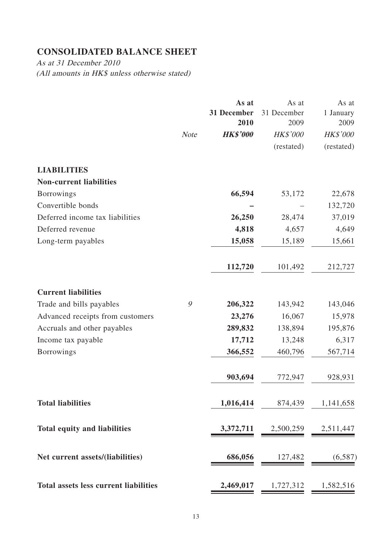# **CONSOLIDATED BALANCE SHEET**

As at 31 December 2010 (All amounts in HK\$ unless otherwise stated)

|                                                      | <b>Note</b> | As at<br>31 December<br>2010<br><b>HK\$'000</b> | As at<br>31 December<br>2009<br><b>HK\$'000</b> | As at<br>1 January<br>2009<br><b>HK\$'000</b> |
|------------------------------------------------------|-------------|-------------------------------------------------|-------------------------------------------------|-----------------------------------------------|
|                                                      |             |                                                 | (restated)                                      | (restated)                                    |
| <b>LIABILITIES</b><br><b>Non-current liabilities</b> |             |                                                 |                                                 |                                               |
| <b>Borrowings</b>                                    |             | 66,594                                          | 53,172                                          | 22,678                                        |
| Convertible bonds                                    |             |                                                 |                                                 | 132,720                                       |
| Deferred income tax liabilities                      |             | 26,250                                          | 28,474                                          | 37,019                                        |
| Deferred revenue                                     |             | 4,818                                           | 4,657                                           | 4,649                                         |
| Long-term payables                                   |             | 15,058                                          | 15,189                                          | 15,661                                        |
|                                                      |             | 112,720                                         | 101,492                                         | 212,727                                       |
| <b>Current liabilities</b>                           |             |                                                 |                                                 |                                               |
| Trade and bills payables                             | 9           | 206,322                                         | 143,942                                         | 143,046                                       |
| Advanced receipts from customers                     |             | 23,276                                          | 16,067                                          | 15,978                                        |
| Accruals and other payables                          |             | 289,832                                         | 138,894                                         | 195,876                                       |
| Income tax payable                                   |             | 17,712                                          | 13,248                                          | 6,317                                         |
| <b>Borrowings</b>                                    |             | 366,552                                         | 460,796                                         | 567,714                                       |
|                                                      |             | 903,694                                         | 772,947                                         | 928,931                                       |
| <b>Total liabilities</b>                             |             | 1,016,414                                       | 874,439                                         | 1,141,658                                     |
| <b>Total equity and liabilities</b>                  |             | 3,372,711                                       | 2,500,259                                       | 2,511,447                                     |
| Net current assets/(liabilities)                     |             | 686,056                                         | 127,482                                         | (6,587)                                       |
| <b>Total assets less current liabilities</b>         |             | 2,469,017                                       | 1,727,312                                       | 1,582,516                                     |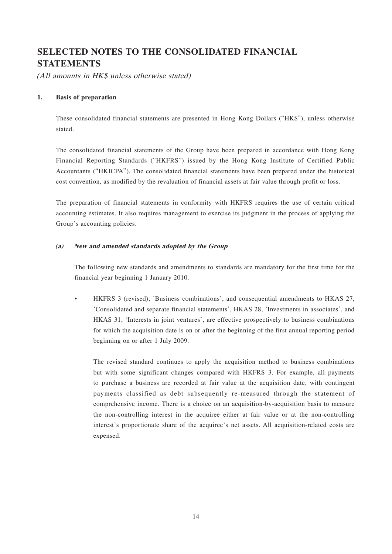# **SELECTED NOTES TO THE CONSOLIDATED FINANCIAL STATEMENTS**

(All amounts in HK\$ unless otherwise stated)

#### **1. Basis of preparation**

These consolidated financial statements are presented in Hong Kong Dollars ("HK\$"), unless otherwise stated.

The consolidated financial statements of the Group have been prepared in accordance with Hong Kong Financial Reporting Standards ("HKFRS") issued by the Hong Kong Institute of Certified Public Accountants ("HKICPA"). The consolidated financial statements have been prepared under the historical cost convention, as modified by the revaluation of financial assets at fair value through profit or loss.

The preparation of financial statements in conformity with HKFRS requires the use of certain critical accounting estimates. It also requires management to exercise its judgment in the process of applying the Group's accounting policies.

#### **(a) New and amended standards adopted by the Group**

The following new standards and amendments to standards are mandatory for the first time for the financial year beginning 1 January 2010.

• HKFRS 3 (revised), 'Business combinations', and consequential amendments to HKAS 27, 'Consolidated and separate financial statements', HKAS 28, 'Investments in associates', and HKAS 31, 'Interests in joint ventures', are effective prospectively to business combinations for which the acquisition date is on or after the beginning of the first annual reporting period beginning on or after 1 July 2009.

The revised standard continues to apply the acquisition method to business combinations but with some significant changes compared with HKFRS 3. For example, all payments to purchase a business are recorded at fair value at the acquisition date, with contingent payments classified as debt subsequently re-measured through the statement of comprehensive income. There is a choice on an acquisition-by-acquisition basis to measure the non-controlling interest in the acquiree either at fair value or at the non-controlling interest's proportionate share of the acquiree's net assets. All acquisition-related costs are expensed.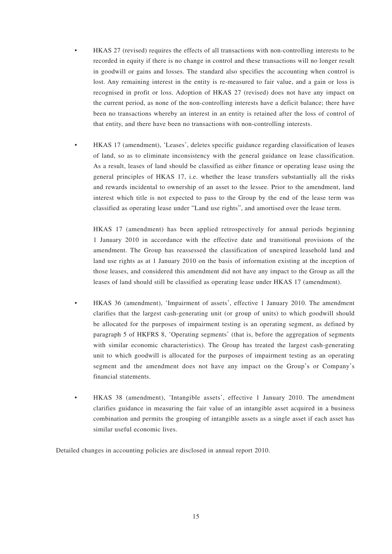- HKAS 27 (revised) requires the effects of all transactions with non-controlling interests to be recorded in equity if there is no change in control and these transactions will no longer result in goodwill or gains and losses. The standard also specifies the accounting when control is lost. Any remaining interest in the entity is re-measured to fair value, and a gain or loss is recognised in profit or loss. Adoption of HKAS 27 (revised) does not have any impact on the current period, as none of the non-controlling interests have a deficit balance; there have been no transactions whereby an interest in an entity is retained after the loss of control of that entity, and there have been no transactions with non-controlling interests.
- HKAS 17 (amendment), 'Leases', deletes specific guidance regarding classification of leases of land, so as to eliminate inconsistency with the general guidance on lease classification. As a result, leases of land should be classified as either finance or operating lease using the general principles of HKAS 17, i.e. whether the lease transfers substantially all the risks and rewards incidental to ownership of an asset to the lessee. Prior to the amendment, land interest which title is not expected to pass to the Group by the end of the lease term was classified as operating lease under "Land use rights", and amortised over the lease term.

HKAS 17 (amendment) has been applied retrospectively for annual periods beginning 1 January 2010 in accordance with the effective date and transitional provisions of the amendment. The Group has reassessed the classification of unexpired leasehold land and land use rights as at 1 January 2010 on the basis of information existing at the inception of those leases, and considered this amendment did not have any impact to the Group as all the leases of land should still be classified as operating lease under HKAS 17 (amendment).

- HKAS 36 (amendment), 'Impairment of assets', effective 1 January 2010. The amendment clarifies that the largest cash-generating unit (or group of units) to which goodwill should be allocated for the purposes of impairment testing is an operating segment, as defined by paragraph 5 of HKFRS 8, 'Operating segments' (that is, before the aggregation of segments with similar economic characteristics). The Group has treated the largest cash-generating unit to which goodwill is allocated for the purposes of impairment testing as an operating segment and the amendment does not have any impact on the Group's or Company's financial statements.
- HKAS 38 (amendment), 'Intangible assets', effective 1 January 2010. The amendment clarifies guidance in measuring the fair value of an intangible asset acquired in a business combination and permits the grouping of intangible assets as a single asset if each asset has similar useful economic lives.

Detailed changes in accounting policies are disclosed in annual report 2010.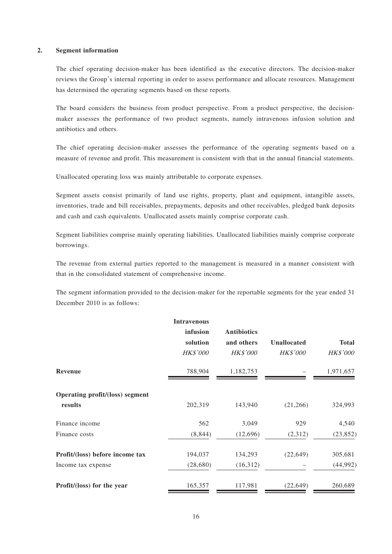#### **2. Segment information**

The chief operating decision-maker has been identified as the executive directors. The decision-maker reviews the Group's internal reporting in order to assess performance and allocate resources. Management has determined the operating segments based on these reports.

The board considers the business from product perspective. From a product perspective, the decisionmaker assesses the performance of two product segments, namely intravenous infusion solution and antibiotics and others.

The chief operating decision-maker assesses the performance of the operating segments based on a measure of revenue and profit. This measurement is consistent with that in the annual financial statements.

Unallocated operating loss was mainly attributable to corporate expenses.

Segment assets consist primarily of land use rights, property, plant and equipment, intangible assets, inventories, trade and bill receivables, prepayments, deposits and other receivables, pledged bank deposits and cash and cash equivalents. Unallocated assets mainly comprise corporate cash.

Segment liabilities comprise mainly operating liabilities. Unallocated liabilities mainly comprise corporate borrowings.

The revenue from external parties reported to the management is measured in a manner consistent with that in the consolidated statement of comprehensive income.

The segment information provided to the decision-maker for the reportable segments for the year ended 31 December 2010 is as follows:

|                                 | <b>Intravenous</b> |                    |                    |                 |
|---------------------------------|--------------------|--------------------|--------------------|-----------------|
|                                 | infusion           | <b>Antibiotics</b> |                    |                 |
|                                 | solution           | and others         | <b>Unallocated</b> | <b>Total</b>    |
|                                 | <b>HK\$'000</b>    | <b>HK\$'000</b>    | <b>HK\$'000</b>    | <b>HK\$'000</b> |
| <b>Revenue</b>                  | 788,904            | 1,182,753          |                    | 1,971,657       |
| Operating profit/(loss) segment |                    |                    |                    |                 |
| results                         | 202,319            | 143,940            | (21, 266)          | 324,993         |
| Finance income                  | 562                | 3,049              | 929                | 4,540           |
| Finance costs                   | (8, 844)           | (12,696)           | (2,312)            | (23, 852)       |
| Profit/(loss) before income tax | 194,037            | 134,293            | (22, 649)          | 305,681         |
| Income tax expense              | (28, 680)          | (16,312)           |                    | (44, 992)       |
| Profit/(loss) for the year      | 165,357            | 117,981            | (22, 649)          | 260,689         |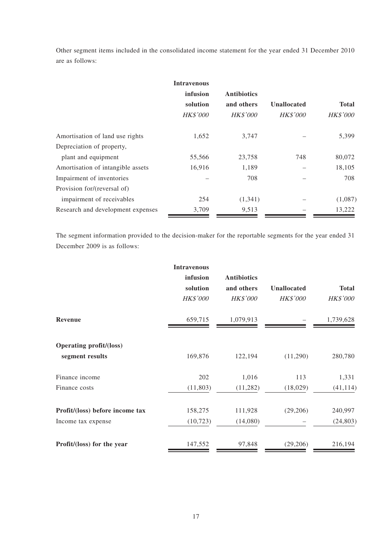Other segment items included in the consolidated income statement for the year ended 31 December 2010 are as follows:

|                                   | <b>Intravenous</b> |                    |                    |                 |
|-----------------------------------|--------------------|--------------------|--------------------|-----------------|
|                                   | infusion           | <b>Antibiotics</b> |                    |                 |
|                                   | solution           | and others         | <b>Unallocated</b> | <b>Total</b>    |
|                                   | <b>HK\$'000</b>    | <b>HK\$'000</b>    | <b>HK\$'000</b>    | <b>HK\$'000</b> |
| Amortisation of land use rights   | 1,652              | 3,747              |                    | 5,399           |
| Depreciation of property,         |                    |                    |                    |                 |
| plant and equipment               | 55,566             | 23,758             | 748                | 80,072          |
| Amortisation of intangible assets | 16,916             | 1,189              |                    | 18,105          |
| Impairment of inventories         |                    | 708                |                    | 708             |
| Provision for/(reversal of)       |                    |                    |                    |                 |
| impairment of receivables         | 254                | (1,341)            |                    | (1,087)         |
| Research and development expenses | 3,709              | 9,513              |                    | 13,222          |

The segment information provided to the decision-maker for the reportable segments for the year ended 31 December 2009 is as follows:

| <b>Intravenous</b><br>infusion<br>solution<br><b>HK\$'000</b> | <b>Antibiotics</b><br>and others<br><b>HK\$'000</b> | <b>Unallocated</b><br><b>HK\$'000</b> | <b>Total</b><br><b>HK\$'000</b> |
|---------------------------------------------------------------|-----------------------------------------------------|---------------------------------------|---------------------------------|
| 659,715                                                       | 1,079,913                                           |                                       | 1,739,628                       |
|                                                               |                                                     |                                       |                                 |
|                                                               |                                                     |                                       | 280,780                         |
| 202                                                           | 1,016                                               | 113                                   | 1,331                           |
| (11, 803)                                                     | (11,282)                                            | (18,029)                              | (41, 114)                       |
| 158,275                                                       | 111,928                                             | (29,206)                              | 240,997                         |
| (10, 723)                                                     | (14,080)                                            |                                       | (24, 803)                       |
| 147,552                                                       | 97,848                                              | (29,206)                              | 216,194                         |
|                                                               | 169,876                                             | 122,194                               | (11,290)                        |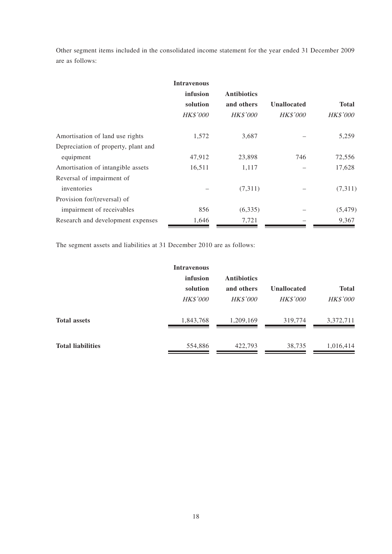Other segment items included in the consolidated income statement for the year ended 31 December 2009 are as follows:

|                                     | <b>Intravenous</b> |                    |                    |                 |
|-------------------------------------|--------------------|--------------------|--------------------|-----------------|
|                                     | infusion           | <b>Antibiotics</b> |                    |                 |
|                                     | solution           | and others         | <b>Unallocated</b> | <b>Total</b>    |
|                                     | <b>HK\$'000</b>    | <b>HK\$'000</b>    | <b>HK\$'000</b>    | <b>HK\$'000</b> |
| Amortisation of land use rights     | 1,572              | 3,687              |                    | 5,259           |
| Depreciation of property, plant and |                    |                    |                    |                 |
| equipment                           | 47,912             | 23,898             | 746                | 72,556          |
| Amortisation of intangible assets   | 16,511             | 1,117              |                    | 17,628          |
| Reversal of impairment of           |                    |                    |                    |                 |
| inventories                         |                    | (7,311)            |                    | (7,311)         |
| Provision for/(reversal) of         |                    |                    |                    |                 |
| impairment of receivables           | 856                | (6,335)            |                    | (5, 479)        |
| Research and development expenses   | 1,646              | 7,721              |                    | 9,367           |

The segment assets and liabilities at 31 December 2010 are as follows:

|                          | <b>Intravenous</b> |                    |                    |                 |
|--------------------------|--------------------|--------------------|--------------------|-----------------|
|                          | infusion           | <b>Antibiotics</b> |                    |                 |
|                          | solution           | and others         | <b>Unallocated</b> | <b>Total</b>    |
|                          | <b>HK\$'000</b>    | <b>HK\$'000</b>    | <b>HK\$'000</b>    | <b>HK\$'000</b> |
| <b>Total assets</b>      | 1,843,768          | 1,209,169          | 319,774            | 3,372,711       |
| <b>Total liabilities</b> | 554,886            | 422,793            | 38,735             | 1,016,414       |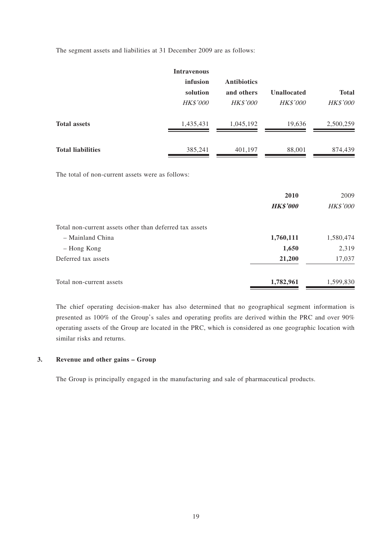The segment assets and liabilities at 31 December 2009 are as follows:

|                          | <b>Intravenous</b> |                    |                    |                 |
|--------------------------|--------------------|--------------------|--------------------|-----------------|
|                          | infusion           | <b>Antibiotics</b> |                    |                 |
|                          | solution           | and others         | <b>Unallocated</b> | <b>Total</b>    |
|                          | <b>HK\$'000</b>    | <b>HK\$'000</b>    | <b>HK\$'000</b>    | <b>HK\$'000</b> |
| <b>Total assets</b>      | 1,435,431          | 1,045,192          | 19,636             | 2,500,259       |
| <b>Total liabilities</b> | 385,241            | 401,197            | 88,001             | 874,439         |

The total of non-current assets were as follows:

|                                                         | 2010<br><b>HK\$'000</b> | 2009<br>HK\$'000 |
|---------------------------------------------------------|-------------------------|------------------|
|                                                         |                         |                  |
| Total non-current assets other than deferred tax assets |                         |                  |
| - Mainland China                                        | 1,760,111               | 1,580,474        |
| - Hong Kong                                             | 1,650                   | 2,319            |
| Deferred tax assets                                     | 21,200                  | 17,037           |
| Total non-current assets                                | 1,782,961               | 1,599,830        |

The chief operating decision-maker has also determined that no geographical segment information is presented as 100% of the Group's sales and operating profits are derived within the PRC and over 90% operating assets of the Group are located in the PRC, which is considered as one geographic location with similar risks and returns.

#### **3. Revenue and other gains – Group**

The Group is principally engaged in the manufacturing and sale of pharmaceutical products.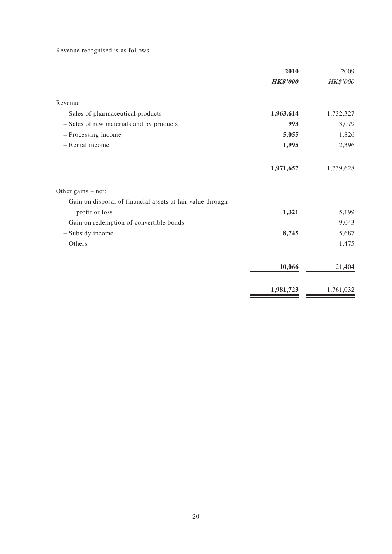Revenue recognised is as follows:

|                                                              | 2010            | 2009      |
|--------------------------------------------------------------|-----------------|-----------|
|                                                              | <b>HK\$'000</b> | HK\$'000  |
| Revenue:                                                     |                 |           |
| - Sales of pharmaceutical products                           | 1,963,614       | 1,732,327 |
| - Sales of raw materials and by products                     | 993             | 3,079     |
| - Processing income                                          | 5,055           | 1,826     |
| - Rental income                                              | 1,995           | 2,396     |
|                                                              | 1,971,657       | 1,739,628 |
| Other gains $-$ net:                                         |                 |           |
| - Gain on disposal of financial assets at fair value through |                 |           |
| profit or loss                                               | 1,321           | 5,199     |
| - Gain on redemption of convertible bonds                    |                 | 9,043     |
| - Subsidy income                                             | 8,745           | 5,687     |
| $-$ Others                                                   |                 | 1,475     |
|                                                              | 10,066          | 21,404    |
|                                                              | 1,981,723       | 1,761,032 |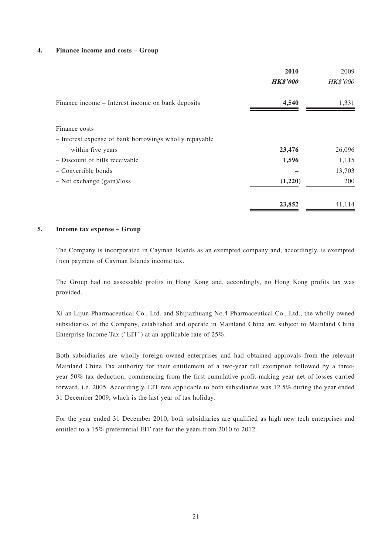#### **4. Finance income and costs – Group**

|                                                        | 2010            | 2009            |
|--------------------------------------------------------|-----------------|-----------------|
|                                                        | <b>HK\$'000</b> | <b>HK\$'000</b> |
| Finance income – Interest income on bank deposits      | 4,540           | 1,331           |
| Finance costs                                          |                 |                 |
| - Interest expense of bank borrowings wholly repayable |                 |                 |
| within five years                                      | 23,476          | 26,096          |
| - Discount of bills receivable                         | 1,596           | 1,115           |
| – Convertible bonds                                    |                 | 13,703          |
| $-$ Net exchange (gain)/loss                           | (1,220)         | 200             |
|                                                        | 23,852          | 41,114          |

#### **5. Income tax expense – Group**

The Company is incorporated in Cayman Islands as an exempted company and, accordingly, is exempted from payment of Cayman Islands income tax.

The Group had no assessable profits in Hong Kong and, accordingly, no Hong Kong profits tax was provided.

Xi'an Lijun Pharmaceutical Co., Ltd. and Shijiazhuang No.4 Pharmaceutical Co., Ltd., the wholly owned subsidiaries of the Company, established and operate in Mainland China are subject to Mainland China Enterprise Income Tax ("EIT") at an applicable rate of 25%.

Both subsidiaries are wholly foreign owned enterprises and had obtained approvals from the relevant Mainland China Tax authority for their entitlement of a two-year full exemption followed by a threeyear 50% tax deduction, commencing from the first cumulative profit-making year net of losses carried forward, i.e. 2005. Accordingly, EIT rate applicable to both subsidiaries was 12.5% during the year ended 31 December 2009, which is the last year of tax holiday.

For the year ended 31 December 2010, both subsidiaries are qualified as high new tech enterprises and entitled to a 15% preferential EIT rate for the years from 2010 to 2012.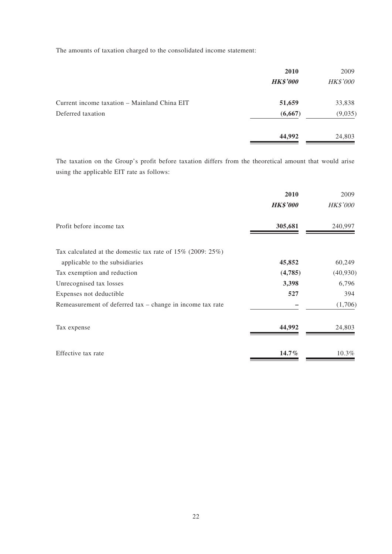The amounts of taxation charged to the consolidated income statement:

|                                              | 2010            | 2009            |
|----------------------------------------------|-----------------|-----------------|
|                                              | <b>HK\$'000</b> | <b>HK\$'000</b> |
| Current income taxation – Mainland China EIT | 51,659          | 33,838          |
| Deferred taxation                            | (6,667)         | (9,035)         |
|                                              | 44,992          | 24,803          |

The taxation on the Group's profit before taxation differs from the theoretical amount that would arise using the applicable EIT rate as follows:

|                                                               | 2010            | 2009            |
|---------------------------------------------------------------|-----------------|-----------------|
|                                                               | <b>HK\$'000</b> | <b>HK\$'000</b> |
| Profit before income tax                                      | 305,681         | 240,997         |
| Tax calculated at the domestic tax rate of $15\%$ (2009: 25%) |                 |                 |
| applicable to the subsidiaries                                | 45,852          | 60,249          |
| Tax exemption and reduction                                   | (4,785)         | (40, 930)       |
| Unrecognised tax losses                                       | 3,398           | 6,796           |
| Expenses not deductible                                       | 527             | 394             |
| Remeasurement of deferred tax – change in income tax rate     |                 | (1,706)         |
| Tax expense                                                   | 44,992          | 24,803          |
| Effective tax rate                                            | $14.7\%$        | 10.3%           |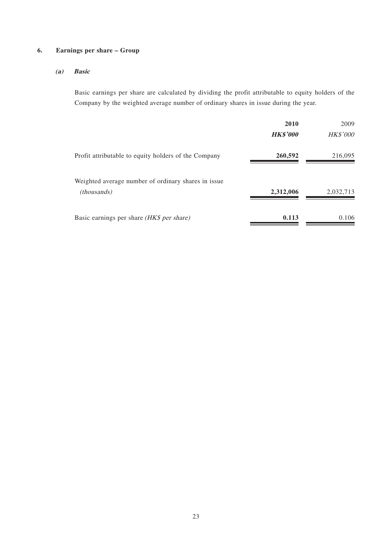#### **6. Earnings per share – Group**

#### **(a) Basic**

Basic earnings per share are calculated by dividing the profit attributable to equity holders of the Company by the weighted average number of ordinary shares in issue during the year.

|                                                                            | 2010            | 2009            |
|----------------------------------------------------------------------------|-----------------|-----------------|
|                                                                            | <b>HK\$'000</b> | <b>HK\$'000</b> |
| Profit attributable to equity holders of the Company                       | 260,592         | 216,095         |
| Weighted average number of ordinary shares in issue.<br><i>(thousands)</i> | 2,312,006       | 2,032,713       |
| Basic earnings per share (HK\$ per share)                                  | 0.113           | 0.106           |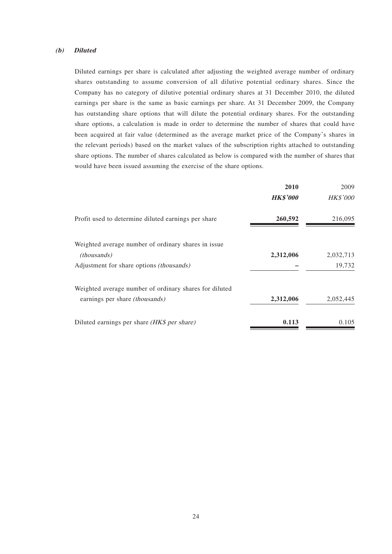#### **(b) Diluted**

Diluted earnings per share is calculated after adjusting the weighted average number of ordinary shares outstanding to assume conversion of all dilutive potential ordinary shares. Since the Company has no category of dilutive potential ordinary shares at 31 December 2010, the diluted earnings per share is the same as basic earnings per share. At 31 December 2009, the Company has outstanding share options that will dilute the potential ordinary shares. For the outstanding share options, a calculation is made in order to determine the number of shares that could have been acquired at fair value (determined as the average market price of the Company's shares in the relevant periods) based on the market values of the subscription rights attached to outstanding share options. The number of shares calculated as below is compared with the number of shares that would have been issued assuming the exercise of the share options.

|                                                        | 2010            | 2009            |
|--------------------------------------------------------|-----------------|-----------------|
|                                                        | <b>HK\$'000</b> | <b>HK\$'000</b> |
| Profit used to determine diluted earnings per share    | 260,592         | 216,095         |
| Weighted average number of ordinary shares in issue    |                 |                 |
| <i>(thousands)</i>                                     | 2,312,006       | 2,032,713       |
| Adjustment for share options <i>(thousands)</i>        |                 | 19,732          |
| Weighted average number of ordinary shares for diluted |                 |                 |
| earnings per share <i>(thousands)</i>                  | 2,312,006       | 2,052,445       |
| Diluted earnings per share (HK\$ per share)            | 0.113           | 0.105           |
|                                                        |                 |                 |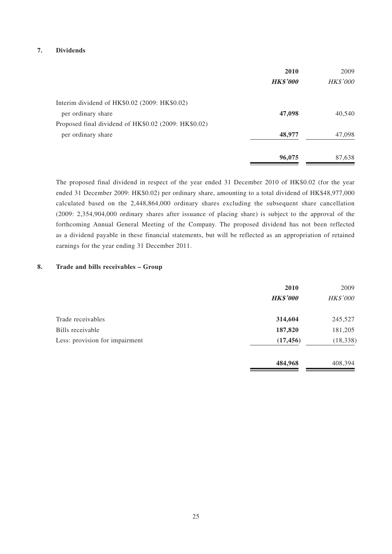#### **7. Dividends**

|                                                      | 2010            | 2009            |
|------------------------------------------------------|-----------------|-----------------|
|                                                      | <b>HK\$'000</b> | <b>HK\$'000</b> |
| Interim dividend of HK\$0.02 (2009: HK\$0.02)        |                 |                 |
| per ordinary share                                   | 47,098          | 40,540          |
| Proposed final dividend of HK\$0.02 (2009: HK\$0.02) |                 |                 |
| per ordinary share                                   | 48,977          | 47,098          |
|                                                      | 96,075          | 87,638          |

The proposed final dividend in respect of the year ended 31 December 2010 of HK\$0.02 (for the year ended 31 December 2009: HK\$0.02) per ordinary share, amounting to a total dividend of HK\$48,977,000 calculated based on the 2,448,864,000 ordinary shares excluding the subsequent share cancellation (2009: 2,354,904,000 ordinary shares after issuance of placing share) is subject to the approval of the forthcoming Annual General Meeting of the Company. The proposed dividend has not been reflected as a dividend payable in these financial statements, but will be reflected as an appropriation of retained earnings for the year ending 31 December 2011.

#### **8. Trade and bills receivables – Group**

|                                | 2010            | 2009            |
|--------------------------------|-----------------|-----------------|
|                                | <b>HK\$'000</b> | <b>HK\$'000</b> |
| Trade receivables              | 314,604         | 245,527         |
| Bills receivable               | 187,820         | 181,205         |
| Less: provision for impairment | (17, 456)       | (18, 338)       |
|                                | 484,968         | 408,394         |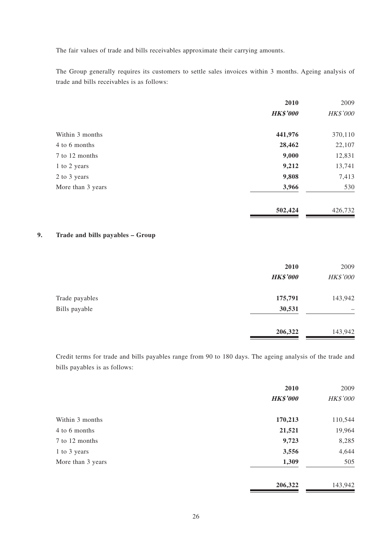The fair values of trade and bills receivables approximate their carrying amounts.

The Group generally requires its customers to settle sales invoices within 3 months. Ageing analysis of trade and bills receivables is as follows:

|                   | 2010            | 2009     |
|-------------------|-----------------|----------|
|                   | <b>HK\$'000</b> | HK\$'000 |
| Within 3 months   | 441,976         | 370,110  |
| 4 to 6 months     | 28,462          | 22,107   |
| 7 to 12 months    | 9,000           | 12,831   |
| 1 to 2 years      | 9,212           | 13,741   |
| 2 to 3 years      | 9,808           | 7,413    |
| More than 3 years | 3,966           | 530      |
|                   | 502,424         | 426,732  |

#### **9. Trade and bills payables – Group**

|                | 2010            | 2009     |
|----------------|-----------------|----------|
|                | <b>HK\$'000</b> | HK\$'000 |
| Trade payables | 175,791         | 143,942  |
| Bills payable  | 30,531          |          |
|                | 206,322         | 143,942  |
|                |                 |          |

Credit terms for trade and bills payables range from 90 to 180 days. The ageing analysis of the trade and bills payables is as follows:

|                   | 2010            | 2009     |
|-------------------|-----------------|----------|
|                   | <b>HK\$'000</b> | HK\$'000 |
| Within 3 months   | 170,213         | 110,544  |
| 4 to 6 months     | 21,521          | 19,964   |
| 7 to 12 months    | 9,723           | 8,285    |
| 1 to 3 years      | 3,556           | 4,644    |
| More than 3 years | 1,309           | 505      |
|                   | 206,322         | 143,942  |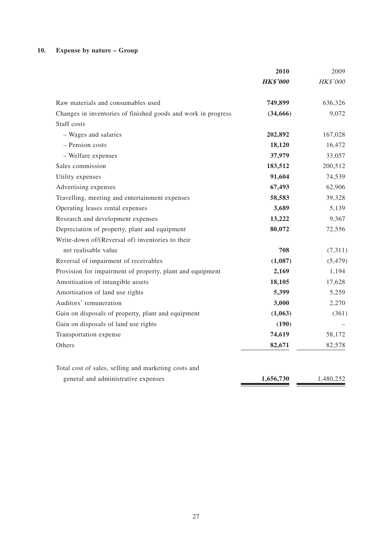### **10. Expense by nature – Group**

|                                                               | 2010            | 2009            |
|---------------------------------------------------------------|-----------------|-----------------|
|                                                               | <b>HK\$'000</b> | <b>HK\$'000</b> |
| Raw materials and consumables used                            | 749,899         | 636,326         |
| Changes in inventories of finished goods and work in progress | (34, 666)       | 9,072           |
| Staff costs                                                   |                 |                 |
| - Wages and salaries                                          | 202,892         | 167,028         |
| - Pension costs                                               | 18,120          | 16,472          |
| - Welfare expenses                                            | 37,979          | 33,057          |
| Sales commission                                              | 183,512         | 200,512         |
| Utility expenses                                              | 91,604          | 74,539          |
| Advertising expenses                                          | 67,493          | 62,906          |
| Travelling, meeting and entertainment expenses                | 58,583          | 39,328          |
| Operating leases rental expenses                              | 3,689           | 5,139           |
| Research and development expenses                             | 13,222          | 9,367           |
| Depreciation of property, plant and equipment                 | 80,072          | 72,556          |
| Write-down of/(Reversal of) inventories to their              |                 |                 |
| net realisable value                                          | 708             | (7,311)         |
| Reversal of impairment of receivables                         | (1,087)         | (5, 479)        |
| Provision for impairment of property, plant and equipment     | 2,169           | 1,194           |
| Amortisation of intangible assets                             | 18,105          | 17,628          |
| Amortisation of land use rights                               | 5,399           | 5,259           |
| Auditors' remuneration                                        | 3,000           | 2,270           |
| Gain on disposals of property, plant and equipment            | (1,063)         | (361)           |
| Gain on disposals of land use rights                          | (190)           |                 |
| Transportation expense                                        | 74,619          | 58,172          |
| Others                                                        | 82,671          | 82,578          |
| Total cost of sales, selling and marketing costs and          |                 |                 |
| general and administrative expenses                           | 1,656,730       | 1,480,252       |

27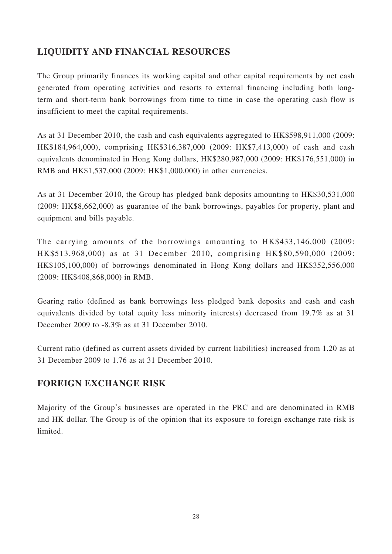# **LIQUIDITY AND FINANCIAL RESOURCES**

The Group primarily finances its working capital and other capital requirements by net cash generated from operating activities and resorts to external financing including both longterm and short-term bank borrowings from time to time in case the operating cash flow is insufficient to meet the capital requirements.

As at 31 December 2010, the cash and cash equivalents aggregated to HK\$598,911,000 (2009: HK\$184,964,000), comprising HK\$316,387,000 (2009: HK\$7,413,000) of cash and cash equivalents denominated in Hong Kong dollars, HK\$280,987,000 (2009: HK\$176,551,000) in RMB and HK\$1,537,000 (2009: HK\$1,000,000) in other currencies.

As at 31 December 2010, the Group has pledged bank deposits amounting to HK\$30,531,000 (2009: HK\$8,662,000) as guarantee of the bank borrowings, payables for property, plant and equipment and bills payable.

The carrying amounts of the borrowings amounting to HK\$433,146,000 (2009: HK\$513,968,000) as at 31 December 2010, comprising HK\$80,590,000 (2009: HK\$105,100,000) of borrowings denominated in Hong Kong dollars and HK\$352,556,000 (2009: HK\$408,868,000) in RMB.

Gearing ratio (defined as bank borrowings less pledged bank deposits and cash and cash equivalents divided by total equity less minority interests) decreased from 19.7% as at 31 December 2009 to -8.3% as at 31 December 2010.

Current ratio (defined as current assets divided by current liabilities) increased from 1.20 as at 31 December 2009 to 1.76 as at 31 December 2010.

# **FOREIGN EXCHANGE RISK**

Majority of the Group's businesses are operated in the PRC and are denominated in RMB and HK dollar. The Group is of the opinion that its exposure to foreign exchange rate risk is limited.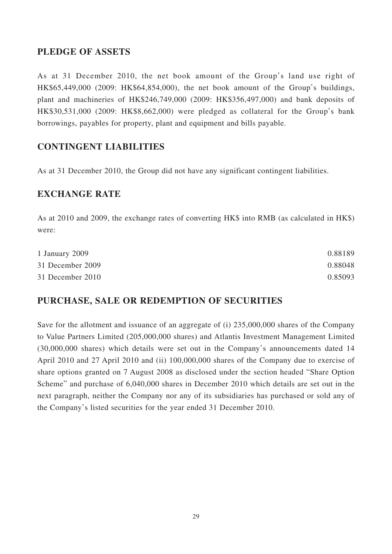# **PLEDGE OF ASSETS**

As at 31 December 2010, the net book amount of the Group's land use right of HK\$65,449,000 (2009: HK\$64,854,000), the net book amount of the Group's buildings, plant and machineries of HK\$246,749,000 (2009: HK\$356,497,000) and bank deposits of HK\$30,531,000 (2009: HK\$8,662,000) were pledged as collateral for the Group's bank borrowings, payables for property, plant and equipment and bills payable.

# **CONTINGENT LIABILITIES**

As at 31 December 2010, the Group did not have any significant contingent liabilities.

# **EXCHANGE RATE**

As at 2010 and 2009, the exchange rates of converting HK\$ into RMB (as calculated in HK\$) were:

| 1 January 2009   | 0.88189 |
|------------------|---------|
| 31 December 2009 | 0.88048 |
| 31 December 2010 | 0.85093 |

# **PURCHASE, SALE OR REDEMPTION OF SECURITIES**

Save for the allotment and issuance of an aggregate of (i) 235,000,000 shares of the Company to Value Partners Limited (205,000,000 shares) and Atlantis Investment Management Limited (30,000,000 shares) which details were set out in the Company's announcements dated 14 April 2010 and 27 April 2010 and (ii) 100,000,000 shares of the Company due to exercise of share options granted on 7 August 2008 as disclosed under the section headed "Share Option Scheme" and purchase of 6,040,000 shares in December 2010 which details are set out in the next paragraph, neither the Company nor any of its subsidiaries has purchased or sold any of the Company's listed securities for the year ended 31 December 2010.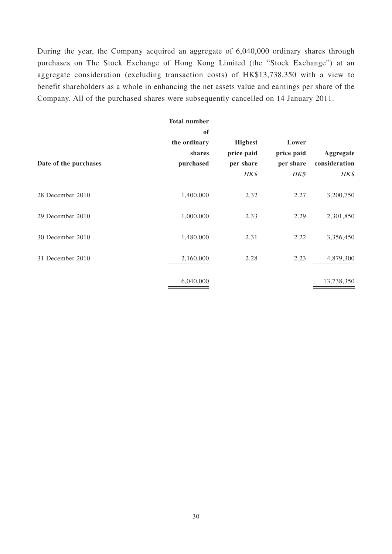During the year, the Company acquired an aggregate of 6,040,000 ordinary shares through purchases on The Stock Exchange of Hong Kong Limited (the "Stock Exchange") at an aggregate consideration (excluding transaction costs) of HK\$13,738,350 with a view to benefit shareholders as a whole in enhancing the net assets value and earnings per share of the Company. All of the purchased shares were subsequently cancelled on 14 January 2011.

|                       | <b>Total number</b><br>of |                              |                     |               |
|-----------------------|---------------------------|------------------------------|---------------------|---------------|
|                       | the ordinary<br>shares    | <b>Highest</b><br>price paid | Lower<br>price paid | Aggregate     |
| Date of the purchases | purchased                 | per share                    | per share           | consideration |
|                       |                           | HK\$                         | HK\$                | HK\$          |
| 28 December 2010      | 1,400,000                 | 2.32                         | 2.27                | 3,200,750     |
| 29 December 2010      | 1,000,000                 | 2.33                         | 2.29                | 2,301,850     |
| 30 December 2010      | 1,480,000                 | 2.31                         | 2.22                | 3,356,450     |
| 31 December 2010      | 2,160,000                 | 2.28                         | 2.23                | 4,879,300     |
|                       | 6,040,000                 |                              |                     | 13,738,350    |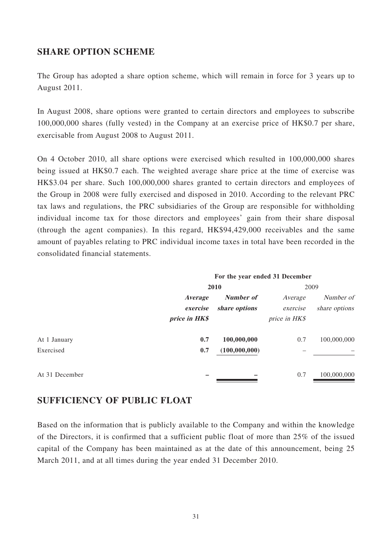### **SHARE OPTION SCHEME**

The Group has adopted a share option scheme, which will remain in force for 3 years up to August 2011.

In August 2008, share options were granted to certain directors and employees to subscribe 100,000,000 shares (fully vested) in the Company at an exercise price of HK\$0.7 per share, exercisable from August 2008 to August 2011.

On 4 October 2010, all share options were exercised which resulted in 100,000,000 shares being issued at HK\$0.7 each. The weighted average share price at the time of exercise was HK\$3.04 per share. Such 100,000,000 shares granted to certain directors and employees of the Group in 2008 were fully exercised and disposed in 2010. According to the relevant PRC tax laws and regulations, the PRC subsidiaries of the Group are responsible for withholding individual income tax for those directors and employees' gain from their share disposal (through the agent companies). In this regard, HK\$94,429,000 receivables and the same amount of payables relating to PRC individual income taxes in total have been recorded in the consolidated financial statements.

|                | For the year ended 31 December |                  |               |               |  |
|----------------|--------------------------------|------------------|---------------|---------------|--|
|                | 2010                           |                  | 2009          |               |  |
|                | <i>Average</i>                 | <b>Number of</b> | Average       | Number of     |  |
|                | exercise                       | share options    | exercise      | share options |  |
|                | price in HK\$                  |                  | price in HK\$ |               |  |
| At 1 January   | 0.7                            | 100,000,000      | 0.7           | 100,000,000   |  |
| Exercised      | 0.7                            | (100,000,000)    |               |               |  |
| At 31 December |                                |                  | 0.7           | 100,000,000   |  |

### **SUFFICIENCY OF PUBLIC FLOAT**

Based on the information that is publicly available to the Company and within the knowledge of the Directors, it is confirmed that a sufficient public float of more than 25% of the issued capital of the Company has been maintained as at the date of this announcement, being 25 March 2011, and at all times during the year ended 31 December 2010.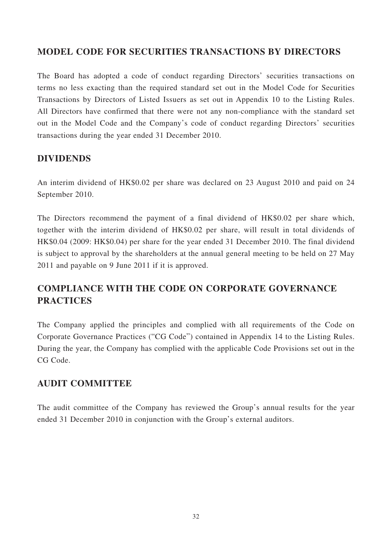# **MODEL CODE FOR SECURITIES TRANSACTIONS BY DIRECTORS**

The Board has adopted a code of conduct regarding Directors' securities transactions on terms no less exacting than the required standard set out in the Model Code for Securities Transactions by Directors of Listed Issuers as set out in Appendix 10 to the Listing Rules. All Directors have confirmed that there were not any non-compliance with the standard set out in the Model Code and the Company's code of conduct regarding Directors' securities transactions during the year ended 31 December 2010.

# **DIVIDENDS**

An interim dividend of HK\$0.02 per share was declared on 23 August 2010 and paid on 24 September 2010.

The Directors recommend the payment of a final dividend of HK\$0.02 per share which, together with the interim dividend of HK\$0.02 per share, will result in total dividends of HK\$0.04 (2009: HK\$0.04) per share for the year ended 31 December 2010. The final dividend is subject to approval by the shareholders at the annual general meeting to be held on 27 May 2011 and payable on 9 June 2011 if it is approved.

# **COMPLIANCE WITH THE CODE ON CORPORATE GOVERNANCE PRACTICES**

The Company applied the principles and complied with all requirements of the Code on Corporate Governance Practices ("CG Code") contained in Appendix 14 to the Listing Rules. During the year, the Company has complied with the applicable Code Provisions set out in the CG Code.

# **AUDIT COMMITTEE**

The audit committee of the Company has reviewed the Group's annual results for the year ended 31 December 2010 in conjunction with the Group's external auditors.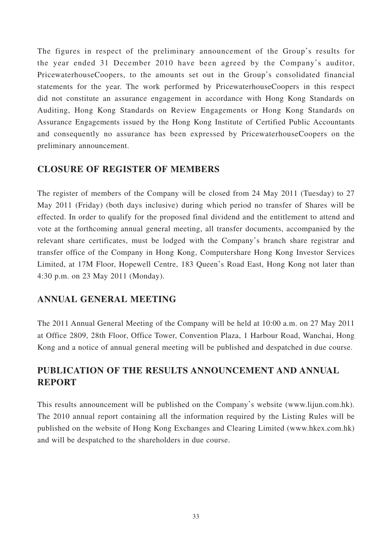The figures in respect of the preliminary announcement of the Group's results for the year ended 31 December 2010 have been agreed by the Company's auditor, PricewaterhouseCoopers, to the amounts set out in the Group's consolidated financial statements for the year. The work performed by PricewaterhouseCoopers in this respect did not constitute an assurance engagement in accordance with Hong Kong Standards on Auditing, Hong Kong Standards on Review Engagements or Hong Kong Standards on Assurance Engagements issued by the Hong Kong Institute of Certified Public Accountants and consequently no assurance has been expressed by PricewaterhouseCoopers on the preliminary announcement.

### **CLOSURE OF REGISTER OF MEMBERS**

The register of members of the Company will be closed from 24 May 2011 (Tuesday) to 27 May 2011 (Friday) (both days inclusive) during which period no transfer of Shares will be effected. In order to qualify for the proposed final dividend and the entitlement to attend and vote at the forthcoming annual general meeting, all transfer documents, accompanied by the relevant share certificates, must be lodged with the Company's branch share registrar and transfer office of the Company in Hong Kong, Computershare Hong Kong Investor Services Limited, at 17M Floor, Hopewell Centre, 183 Queen's Road East, Hong Kong not later than 4:30 p.m. on 23 May 2011 (Monday).

# **ANNUAL GENERAL MEETING**

The 2011 Annual General Meeting of the Company will be held at 10:00 a.m. on 27 May 2011 at Office 2809, 28th Floor, Office Tower, Convention Plaza, 1 Harbour Road, Wanchai, Hong Kong and a notice of annual general meeting will be published and despatched in due course.

# **PUBLICATION OF THE RESULTS ANNOUNCEMENT AND ANNUAL REPORT**

This results announcement will be published on the Company's website (www.lijun.com.hk). The 2010 annual report containing all the information required by the Listing Rules will be published on the website of Hong Kong Exchanges and Clearing Limited (www.hkex.com.hk) and will be despatched to the shareholders in due course.